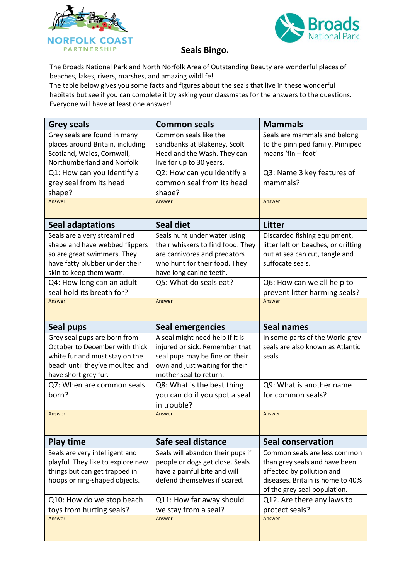



## **Seals Bingo.**

The Broads National Park and North Norfolk Area of Outstanding Beauty are wonderful places of beaches, lakes, rivers, marshes, and amazing wildlife!

The table below gives you some facts and figures about the seals that live in these wonderful habitats but see if you can complete it by asking your classmates for the answers to the questions. Everyone will have at least one answer!

| <b>Grey seals</b>                                                                                                                                                                              | <b>Common seals</b>                                                                                                                                                                     | <b>Mammals</b>                                                                                                                                                                                                 |
|------------------------------------------------------------------------------------------------------------------------------------------------------------------------------------------------|-----------------------------------------------------------------------------------------------------------------------------------------------------------------------------------------|----------------------------------------------------------------------------------------------------------------------------------------------------------------------------------------------------------------|
| Grey seals are found in many<br>places around Britain, including<br>Scotland, Wales, Cornwall,<br>Northumberland and Norfolk                                                                   | Common seals like the<br>sandbanks at Blakeney, Scolt<br>Head and the Wash. They can<br>live for up to 30 years.                                                                        | Seals are mammals and belong<br>to the pinniped family. Pinniped<br>means 'fin - foot'                                                                                                                         |
| Q1: How can you identify a<br>grey seal from its head<br>shape?                                                                                                                                | Q2: How can you identify a<br>common seal from its head<br>shape?                                                                                                                       | Q3: Name 3 key features of<br>mammals?                                                                                                                                                                         |
| Answer                                                                                                                                                                                         | Answer                                                                                                                                                                                  | Answer                                                                                                                                                                                                         |
| Seal adaptations                                                                                                                                                                               | <b>Seal diet</b>                                                                                                                                                                        | <b>Litter</b>                                                                                                                                                                                                  |
| Seals are a very streamlined<br>shape and have webbed flippers<br>so are great swimmers. They<br>have fatty blubber under their<br>skin to keep them warm.<br>Q4: How long can an adult        | Seals hunt under water using<br>their whiskers to find food. They<br>are carnivores and predators<br>who hunt for their food. They<br>have long canine teeth.<br>Q5: What do seals eat? | Discarded fishing equipment,<br>litter left on beaches, or drifting<br>out at sea can cut, tangle and<br>suffocate seals.<br>Q6: How can we all help to                                                        |
| seal hold its breath for?                                                                                                                                                                      |                                                                                                                                                                                         | prevent litter harming seals?                                                                                                                                                                                  |
| Answer                                                                                                                                                                                         | Answer                                                                                                                                                                                  | Answer                                                                                                                                                                                                         |
| Seal pups                                                                                                                                                                                      | <b>Seal emergencies</b>                                                                                                                                                                 | <b>Seal names</b>                                                                                                                                                                                              |
| Grey seal pups are born from<br>October to December with thick<br>white fur and must stay on the<br>beach until they've moulted and<br>have short grey fur.                                    | A seal might need help if it is<br>injured or sick. Remember that<br>seal pups may be fine on their<br>own and just waiting for their<br>mother seal to return.                         | In some parts of the World grey<br>seals are also known as Atlantic<br>seals.                                                                                                                                  |
| Q7: When are common seals<br>born?                                                                                                                                                             | Q8: What is the best thing<br>you can do if you spot a seal<br>in trouble?                                                                                                              | Q9: What is another name<br>for common seals?                                                                                                                                                                  |
| Answer                                                                                                                                                                                         | Answer                                                                                                                                                                                  | Answer                                                                                                                                                                                                         |
| <b>Play time</b>                                                                                                                                                                               | Safe seal distance                                                                                                                                                                      | <b>Seal conservation</b>                                                                                                                                                                                       |
| Seals are very intelligent and<br>playful. They like to explore new<br>things but can get trapped in<br>hoops or ring-shaped objects.<br>Q10: How do we stop beach<br>toys from hurting seals? | Seals will abandon their pups if<br>people or dogs get close. Seals<br>have a painful bite and will<br>defend themselves if scared.<br>Q11: How far away should<br>we stay from a seal? | Common seals are less common<br>than grey seals and have been<br>affected by pollution and<br>diseases. Britain is home to 40%<br>of the grey seal population.<br>Q12. Are there any laws to<br>protect seals? |
| Answer                                                                                                                                                                                         | Answer                                                                                                                                                                                  | Answer                                                                                                                                                                                                         |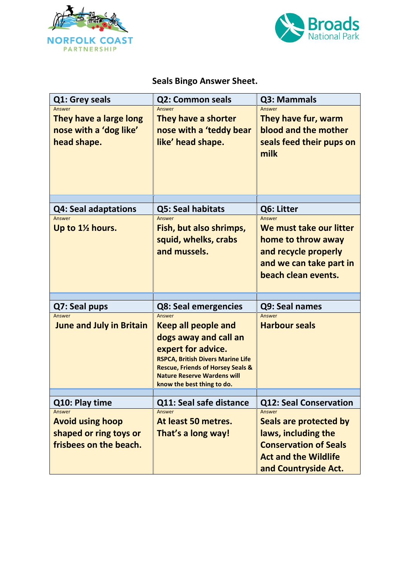



## **Seals Bingo Answer Sheet.**

| Q1: Grey seals                                                                                          | <b>Q2: Common seals</b>                                                                                                                                                                                                                                                            | Q3: Mammals                                                                                                                                                                     |
|---------------------------------------------------------------------------------------------------------|------------------------------------------------------------------------------------------------------------------------------------------------------------------------------------------------------------------------------------------------------------------------------------|---------------------------------------------------------------------------------------------------------------------------------------------------------------------------------|
| Answer<br>They have a large long<br>nose with a 'dog like'<br>head shape.                               | Answer<br>They have a shorter<br>nose with a 'teddy bear<br>like' head shape.                                                                                                                                                                                                      | Answer<br>They have fur, warm<br>blood and the mother<br>seals feed their pups on<br>milk                                                                                       |
|                                                                                                         | Q5: Seal habitats                                                                                                                                                                                                                                                                  | Q6: Litter                                                                                                                                                                      |
| <b>Q4: Seal adaptations</b><br>Answer<br>Up to 1½ hours.                                                | Answer<br>Fish, but also shrimps,<br>squid, whelks, crabs<br>and mussels.                                                                                                                                                                                                          | Answer<br>We must take our litter<br>home to throw away<br>and recycle properly<br>and we can take part in<br>beach clean events.                                               |
|                                                                                                         |                                                                                                                                                                                                                                                                                    |                                                                                                                                                                                 |
| Q7: Seal pups<br>Answer<br><b>June and July in Britain</b>                                              | <b>Q8: Seal emergencies</b><br>Answer<br><b>Keep all people and</b><br>dogs away and call an<br>expert for advice.<br><b>RSPCA, British Divers Marine Life</b><br><b>Rescue, Friends of Horsey Seals &amp;</b><br><b>Nature Reserve Wardens will</b><br>know the best thing to do. | Q9: Seal names<br>Answer<br><b>Harbour seals</b>                                                                                                                                |
|                                                                                                         |                                                                                                                                                                                                                                                                                    |                                                                                                                                                                                 |
| Q10: Play time<br>Answer<br><b>Avoid using hoop</b><br>shaped or ring toys or<br>frisbees on the beach. | Q11: Seal safe distance<br>Answer<br>At least 50 metres.<br>That's a long way!                                                                                                                                                                                                     | <b>Q12: Seal Conservation</b><br>Answer<br>Seals are protected by<br>laws, including the<br><b>Conservation of Seals</b><br><b>Act and the Wildlife</b><br>and Countryside Act. |